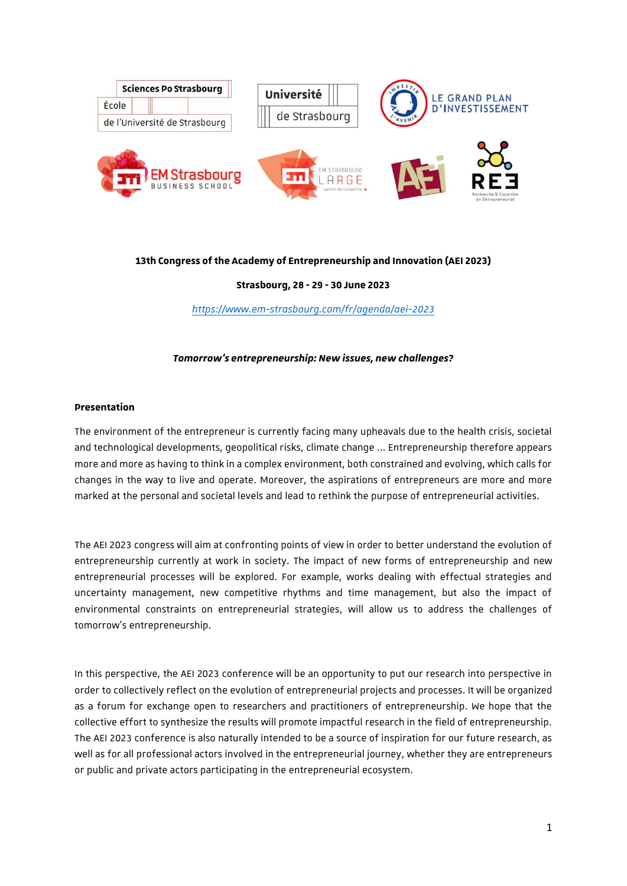

## **13th Congress of the Academy of Entrepreneurship and Innovation (AEI 2023)**

## **Strasbourg, 28 - 29 - 30 June 2023**

*<https://www.em-strasbourg.com/fr/agenda/aei-2023>*

### *Tomorrow's entrepreneurship: New issues, new challenges?*

#### **Presentation**

The environment of the entrepreneur is currently facing many upheavals due to the health crisis, societal and technological developments, geopolitical risks, climate change ... Entrepreneurship therefore appears more and more as having to think in a complex environment, both constrained and evolving, which calls for changes in the way to live and operate. Moreover, the aspirations of entrepreneurs are more and more marked at the personal and societal levels and lead to rethink the purpose of entrepreneurial activities.

The AEI 2023 congress will aim at confronting points of view in order to better understand the evolution of entrepreneurship currently at work in society. The impact of new forms of entrepreneurship and new entrepreneurial processes will be explored. For example, works dealing with effectual strategies and uncertainty management, new competitive rhythms and time management, but also the impact of environmental constraints on entrepreneurial strategies, will allow us to address the challenges of tomorrow's entrepreneurship.

In this perspective, the AEI 2023 conference will be an opportunity to put our research into perspective in order to collectively reflect on the evolution of entrepreneurial projects and processes. It will be organized as a forum for exchange open to researchers and practitioners of entrepreneurship. We hope that the collective effort to synthesize the results will promote impactful research in the field of entrepreneurship. The AEI 2023 conference is also naturally intended to be a source of inspiration for our future research, as well as for all professional actors involved in the entrepreneurial journey, whether they are entrepreneurs or public and private actors participating in the entrepreneurial ecosystem.